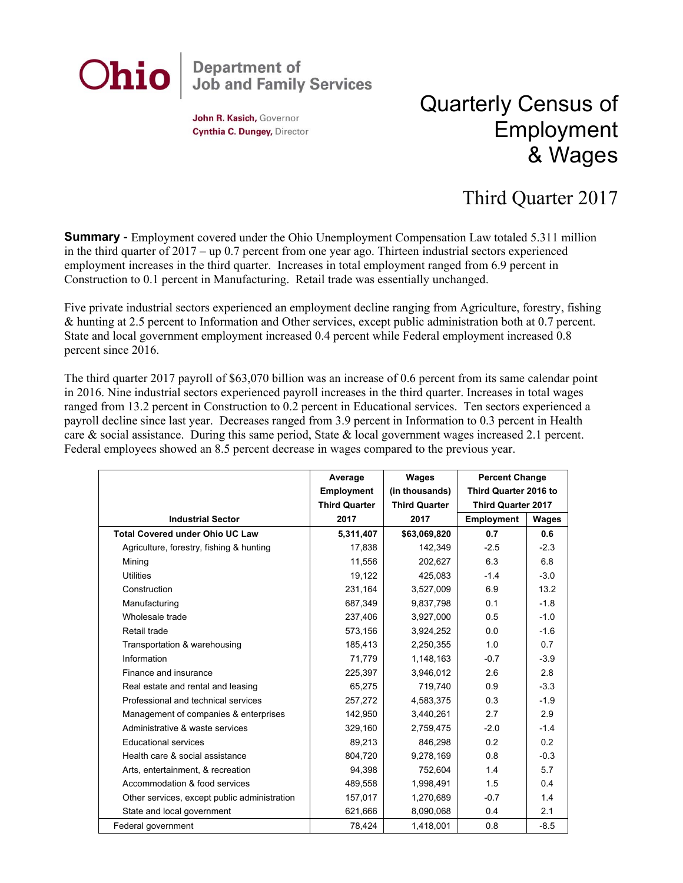

John R. Kasich, Governor Cynthia C. Dungey, Director

## Quarterly Census of Employment & Wages

## Third Quarter 2017

**Summary** - Employment covered under the Ohio Unemployment Compensation Law totaled 5.311 million in the third quarter of 2017 – up 0.7 percent from one year ago. Thirteen industrial sectors experienced employment increases in the third quarter. Increases in total employment ranged from 6.9 percent in Construction to 0.1 percent in Manufacturing. Retail trade was essentially unchanged.

Five private industrial sectors experienced an employment decline ranging from Agriculture, forestry, fishing & hunting at 2.5 percent to Information and Other services, except public administration both at 0.7 percent. State and local government employment increased 0.4 percent while Federal employment increased 0.8 percent since 2016.

The third quarter 2017 payroll of \$63,070 billion was an increase of 0.6 percent from its same calendar point in 2016. Nine industrial sectors experienced payroll increases in the third quarter. Increases in total wages ranged from 13.2 percent in Construction to 0.2 percent in Educational services. Ten sectors experienced a payroll decline since last year. Decreases ranged from 3.9 percent in Information to 0.3 percent in Health care & social assistance. During this same period, State & local government wages increased 2.1 percent. Federal employees showed an 8.5 percent decrease in wages compared to the previous year.

|                                              | Average              | Wages                | <b>Percent Change</b>     |        |
|----------------------------------------------|----------------------|----------------------|---------------------------|--------|
|                                              | Employment           | (in thousands)       | Third Quarter 2016 to     |        |
|                                              | <b>Third Quarter</b> | <b>Third Quarter</b> | <b>Third Quarter 2017</b> |        |
| <b>Industrial Sector</b>                     | 2017                 | 2017                 | Employment                | Wages  |
| <b>Total Covered under Ohio UC Law</b>       | 5,311,407            | \$63,069,820         | 0.7                       | 0.6    |
| Agriculture, forestry, fishing & hunting     | 17,838               | 142,349              | $-2.5$                    | $-2.3$ |
| Mining                                       | 11,556               | 202,627              | 6.3                       | 6.8    |
| <b>Utilities</b>                             | 19,122               | 425,083              | $-1.4$                    | $-3.0$ |
| Construction                                 | 231,164              | 3,527,009            | 6.9                       | 13.2   |
| Manufacturing                                | 687.349              | 9,837,798            | 0.1                       | $-1.8$ |
| Wholesale trade                              | 237.406              | 3,927,000            | 0.5                       | $-1.0$ |
| Retail trade                                 | 573,156              | 3,924,252            | 0.0                       | $-1.6$ |
| Transportation & warehousing                 | 185,413              | 2,250,355            | 1.0                       | 0.7    |
| Information                                  | 71,779               | 1,148,163            | $-0.7$                    | $-3.9$ |
| Finance and insurance                        | 225,397              | 3,946,012            | 2.6                       | 2.8    |
| Real estate and rental and leasing           | 65,275               | 719,740              | 0.9                       | $-3.3$ |
| Professional and technical services          | 257,272              | 4,583,375            | 0.3                       | $-1.9$ |
| Management of companies & enterprises        | 142.950              | 3,440,261            | 2.7                       | 2.9    |
| Administrative & waste services              | 329,160              | 2,759,475            | $-2.0$                    | $-1.4$ |
| <b>Educational services</b>                  | 89,213               | 846,298              | 0.2                       | 0.2    |
| Health care & social assistance              | 804,720              | 9,278,169            | 0.8                       | $-0.3$ |
| Arts, entertainment, & recreation            | 94,398               | 752,604              | 1.4                       | 5.7    |
| Accommodation & food services                | 489,558              | 1,998,491            | 1.5                       | 0.4    |
| Other services, except public administration | 157,017              | 1,270,689            | $-0.7$                    | 1.4    |
| State and local government                   | 621,666              | 8,090,068            | 0.4                       | 2.1    |
| Federal government                           | 78,424               | 1,418,001            | 0.8                       | $-8.5$ |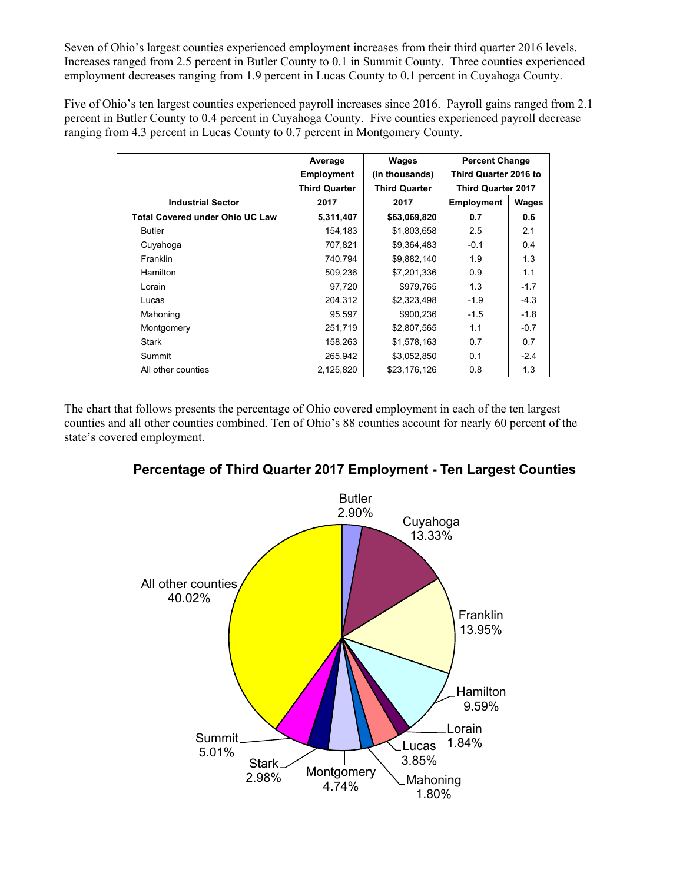Seven of Ohio's largest counties experienced employment increases from their third quarter 2016 levels. Increases ranged from 2.5 percent in Butler County to 0.1 in Summit County. Three counties experienced employment decreases ranging from 1.9 percent in Lucas County to 0.1 percent in Cuyahoga County.

Five of Ohio's ten largest counties experienced payroll increases since 2016. Payroll gains ranged from 2.1 percent in Butler County to 0.4 percent in Cuyahoga County. Five counties experienced payroll decrease ranging from 4.3 percent in Lucas County to 0.7 percent in Montgomery County.

|                                        | Average              | Wages                | <b>Percent Change</b>     |        |
|----------------------------------------|----------------------|----------------------|---------------------------|--------|
|                                        | <b>Employment</b>    | (in thousands)       | Third Quarter 2016 to     |        |
|                                        | <b>Third Quarter</b> | <b>Third Quarter</b> | <b>Third Quarter 2017</b> |        |
| <b>Industrial Sector</b>               | 2017                 | 2017                 | <b>Employment</b>         | Wages  |
| <b>Total Covered under Ohio UC Law</b> | 5,311,407            | \$63,069,820         | 0.7                       | 0.6    |
| <b>Butler</b>                          | 154,183              | \$1,803,658          | 2.5                       | 2.1    |
| Cuyahoga                               | 707,821              | \$9,364,483          | $-0.1$                    | 0.4    |
| Franklin                               | 740,794              | \$9,882,140          | 1.9                       | 1.3    |
| Hamilton                               | 509,236              | \$7,201,336          | 0.9                       | 1.1    |
| Lorain                                 | 97,720               | \$979,765            | 1.3                       | $-1.7$ |
| Lucas                                  | 204,312              | \$2,323,498          | $-1.9$                    | $-4.3$ |
| Mahoning                               | 95,597               | \$900,236            | $-1.5$                    | $-1.8$ |
| Montgomery                             | 251,719              | \$2,807,565          | 1.1                       | $-0.7$ |
| Stark                                  | 158,263              | \$1,578,163          | 0.7                       | 0.7    |
| Summit                                 | 265,942              | \$3,052,850          | 0.1                       | $-2.4$ |
| All other counties                     | 2,125,820            | \$23,176,126         | 0.8                       | 1.3    |

The chart that follows presents the percentage of Ohio covered employment in each of the ten largest counties and all other counties combined. Ten of Ohio's 88 counties account for nearly 60 percent of the state's covered employment.



## **Percentage of Third Quarter 2017 Employment - Ten Largest Counties**